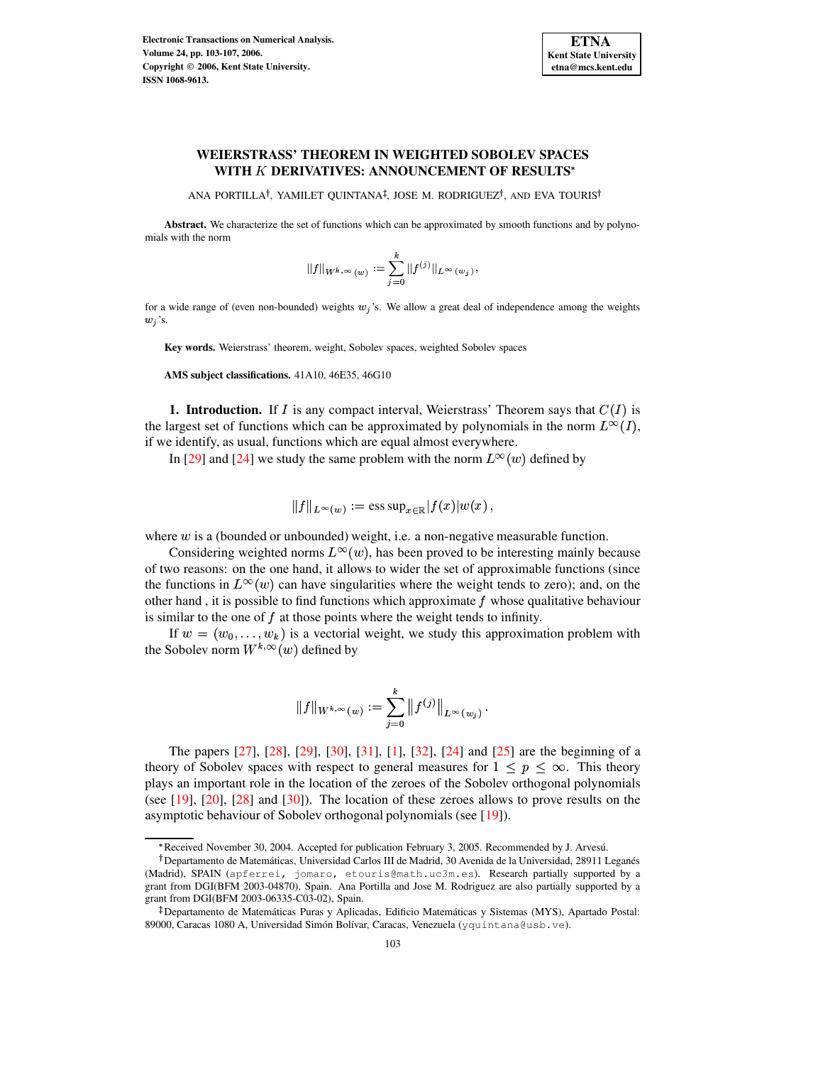

# **WEIERSTRASS' THEOREM IN WEIGHTED SOBOLEV SPACES WITH DERIVATIVES: ANNOUNCEMENT OF RESULTS**

ANA PORTILLA<sup>†</sup>, YAMILET QUINTANA<sup>‡</sup>, JOSE M. RODRIGUEZ<sup>†</sup>, AND EVA TOURIS

**Abstract.** We characterize the set of functions which can be approximated by smooth functions and by polynomials with the norm

$$
||f||_{W^{k,\infty}(w)} := \sum_{j=0}^k ||f^{(j)}||_{L^{\infty}(w_j)},
$$

for a wide range of (even non-bounded) weights  $w_j$ 's. We allow a great deal of independence among the weights  $w_j$ 's.

**Key words.** Weierstrass' theorem, weight, Sobolev spaces, weighted Sobolev spaces

**AMS subject classifications.** 41A10, 46E35, 46G10

**1. Introduction.** If  $I$  is any compact interval, Weierstrass' Theorem says that  $C(I)$  is the largest set of functions which can be approximated by polynomials in the norm  $L^{\infty}(I)$ , if we identify, as usual, functions which are equal almost everywhere.

In [\[29\]](#page-4-0) and [\[24\]](#page-4-1) we study the same problem with the norm  $L^{\infty}(w)$  defined by

$$
||f||_{L^{\infty}(w)} := \operatorname{ess} \operatorname{sup}_{x \in \mathbb{R}} |f(x)|w(x) ,
$$

where  $w$  is a (bounded or unbounded) weight, i.e. a non-negative measurable function.

Considering weighted norms  $L^{\infty}(w)$ , has been proved to be interesting mainly because of two reasons: on the one hand, it allows to wider the set of approximable functions (since the functions in  $L^{\infty}(w)$  can have singularities where the weight tends to zero); and, on the other hand, it is possible to find functions which approximate  $f$  whose qualitative behaviour is similar to the one of  $f$  at those points where the weight tends to infinity.

If  $w = (w_0, \ldots, w_k)$  is a vectorial weight, we study this approximation problem with the Sobolev norm  $W^{k,\infty}(w)$  defined by

$$
||f||_{W^{k,\infty}(w)} := \sum_{j=0}^k ||f^{(j)}||_{L^{\infty}(w_j)}.
$$

The papers [\[27\]](#page-4-2), [\[28\]](#page-4-3), [\[29\]](#page-4-0), [\[30\]](#page-4-4), [\[31\]](#page-4-5), [\[1\]](#page-3-0), [\[32\]](#page-4-6), [\[24\]](#page-4-1) and [\[25\]](#page-4-7) are the beginning of a theory of Sobolev spaces with respect to general measures for  $1 \leq p \leq \infty$ . This theory plays an important role in the location of the zeroes of the Sobolev orthogonal polynomials (see [\[19\]](#page-4-8), [\[20\]](#page-4-9), [\[28\]](#page-4-3) and [\[30\]](#page-4-4)). The location of these zeroes allows to prove results on the asymptotic behaviour of Sobolev orthogonal polynomials (see [\[19\]](#page-4-8)).

<sup>g</sup> Received November 30, 2004. Accepted for publication February 3, 2005. Recommended by J. Arvesu.´

<sup>&</sup>lt;sup>†</sup> Departamento de Matemáticas, Universidad Carlos III de Madrid, 30 Avenida de la Universidad, 28911 Leganés (Madrid), SPAIN (apferrei, jomaro, etouris@math.uc3m.es). Research partially supported by a grant from DGI(BFM 2003-04870), Spain. Ana Portilla and Jose M. Rodriguez are also partially supported by a grant from DGI(BFM 2003-06335-C03-02), Spain.

<sup>&</sup>lt;sup>‡</sup> Departamento de Matemáticas Puras y Aplicadas, Edificio Matemáticas y Sistemas (MYS), Apartado Postal: 89000, Caracas 1080 A, Universidad Simón Bolívar, Caracas, Venezuela (yquintana@usb.ve).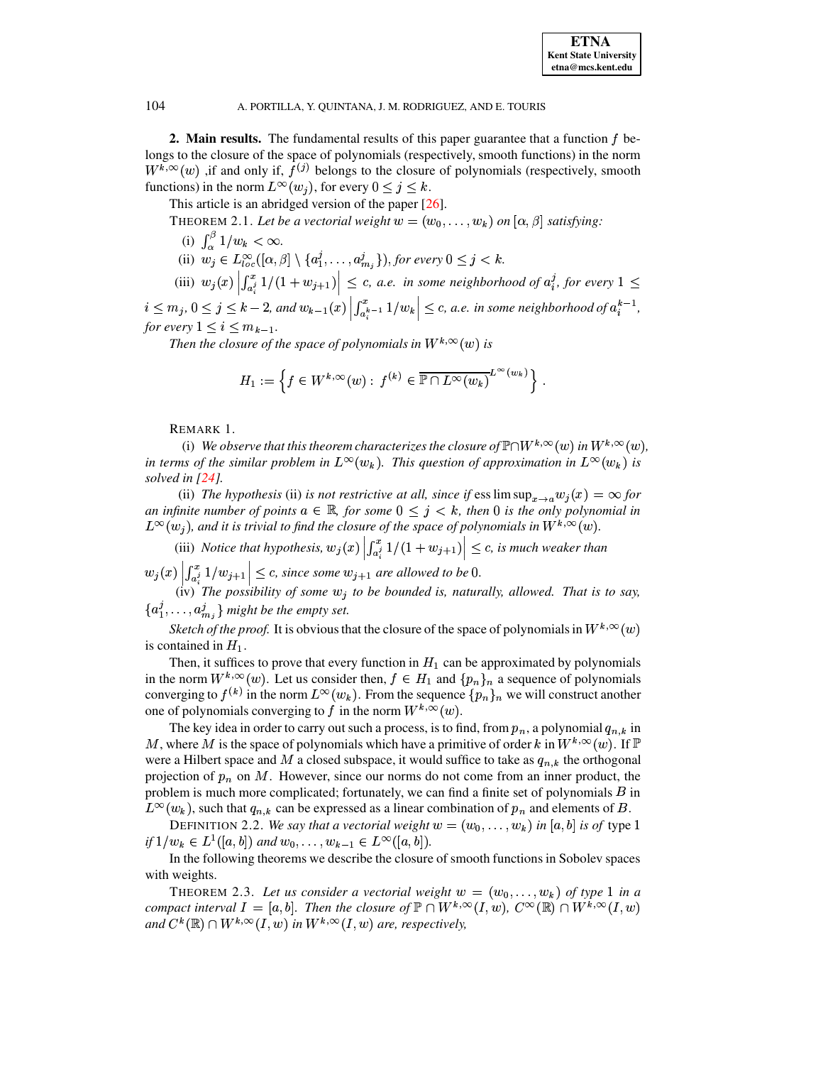## 104 A. PORTILLA, Y. QUINTANA, J. M. RODRIGUEZ, AND E. TOURIS

**2. Main results.** The fundamental results of this paper guarantee that a function  $f$  belongs to the closure of the space of polynomials (respectively, smooth functions) in the norm  $W^{k,\infty}(w)$  , if and only if,  $f^{(j)}$  belongs to the closure of polynomials (respectively, smooth functions) in the norm  $L^{\infty}(w_j)$ , for every  $0 \leq j \leq k$ .

This article is an abridged version of the paper [\[26\]](#page-4-10).

THEOREM 2.1. Let be a vectorial weight  $w = (w_0, \ldots, w_k)$  on  $[\alpha, \beta]$  satisfying:

- (i)  $\int_{\infty}^{\beta} 1/w_k < \infty$ .
- (ii)  $w_j \in L^{\infty}_{loc}([\alpha,\beta] \setminus \{a_1^j,\ldots,a_m^j\}$  $\{L, \ldots, a_{m_i}^j\}$ , for every  $0 \leq j \leq k$ .
- (iii)  $w_j(x) \left| \int_0^1 f(x) \right| dx$ and the contract of the contract of the contract of the contract of the contract of the contract of the contract of the contract of the contract of the contract of the contract of the contract of the contract of the contra  $\left| \sum_{i=1}^{n} 1/(1+w_{j+1}) \right| \leq c$ , *a.e. in some neighborhood of*  $a_i^j$ , *for every*  $1 \leq$

 $\begin{aligned} i \leq m_j, \ 0 \leq j \leq k-2, \text{ and } w_{k-1}(x) \left| \int_{a_i^{k-1}}^{x} 1/w_k \right| \leq \text{for every } 1 \leq i \leq m. \end{aligned}$ **BRITISH IN THE REAL PROPERTY OF STATISTICS**  $\int_{0}^{x} k-1 dx$  $1/w_k \leq c$ , a.e. in some neighborhood of  $a_i^{k-1}$ ,  $\frac{k-1}{i}$ *for every*  $1 \leq i \leq m_{k-1}$ .

*Then* the closure of the space of polynomials in  $W^{k,\infty}(w)$  is

$$
H_1 := \left\{ f \in W^{k,\infty}(w) : f^{(k)} \in \overline{\mathbb{P} \cap L^{\infty}(w_k)}^{L^{\infty}(w_k)} \right\}.
$$

REMARK 1.

(i) We observe that this theorem characterizes the closure of  $\mathbb{P}\cap W^{k,\infty}(w)$  in  $W^{k,\infty}(w)$ , *in terms of the similar problem in*  $L^{\infty}(w_k)$ . This question of approximation in  $L^{\infty}(w_k)$  is *solved in [\[24\]](#page-4-1).*

(ii) The hypothesis (ii) is not restrictive at all, since if  $\text{ess}\limsup_{x\to a} w_i(x) = \infty$  for *an infinite number of points*  $a \in \mathbb{R}$ *, for some*  $0 \leq j \leq k$ *, then* 0 *is the only polynomial in*  $L^{\infty}(w_j)$ , and it is trivial to find the closure of the space of polynomials in  $W^{k,\infty}(w)$ .

(iii) *Notice that hypothesis,*  $w_j(x) \left| \int_{a_i^j}^{x_j} 1/(1+w_j)\right|$ <sup>B</sup>  $\left| \sum_{i=1}^{s} 1/(1+w_{j+1}) \right| \leq c$ , is much weaker than and the contract of the contract of the contract of the contract of the contract of the contract of the contract of the contract of the contract of the contract of the contract of the contract of the contract of the contra

 $w_i(x)$  i . . . .  $\left| \sum_{i=1}^{n} |w_{i+1}| \right| < c$ , since  $\leq$  *c*, since some  $w_{j+1}$  are allowed to be 0.<br>*ibility of some w<sub>it</sub> to be bounded* is nature

 $\begin{bmatrix} \n\frac{1}{a_i^2} & \frac{1}{b_i^2} + \frac{1}{c_i^2} & \frac{1}{c_i^2} \\
\frac{1}{c_i^2} & \frac{1}{c_i^2} & \frac{1}{c_i^2} & \frac{1}{c_i^2} \\
\frac{1}{c_i^2} & \frac{1}{c_i^2} & \frac{1}{c_i^2} & \frac{1}{c_i^2} \\
\frac{1}{c_i^2} & \frac{1}{c_i^2} & \frac{1}{c_i^2} & \frac{1}{c_i^2} \\
\frac{1}{c_i^2} & \frac{1}{c_i^2} & \frac{1}{c_i^2} & \frac{$ V \  $\{a_1, \ldots, a_m\}$  might be the empty set.

*Sketch of the proof.* It is obvious that the closure of the space of polynomials in  $W^{k,\infty}(w)$ is contained in  $H_1$ .

Then, it suffices to prove that every function in  $H_1$  can be approximated by polynomials in the norm  $W^{k,\infty}(w)$ . Let us consider then,  $f \in H_1$  and  $\{p_n\}_n$  a sequence of polynomials converging to  $f^{(k)}$  in the norm  $L^{\infty}(w_k)$ . From the sequence  $\{p_n\}_n$  we will construct another one of polynomials converging to f in the norm  $W^{k,\infty}(w)$ .

The key idea in order to carry out such a process, is to find, from  $p_n$ , a polynomial  $q_{n,k}$  in M, where M is the space of polynomials which have a primitive of order k in  $W^{k,\infty}(w)$ . If  $\mathbb P$ were a Hilbert space and M a closed subspace, it would suffice to take as  $q_{n,k}$  the orthogonal projection of  $p_n$  on M. However, since our norms do not come from an inner product, the problem is much more complicated; fortunately, we can find a finite set of polynomials  $B$  in  $L^{\infty}(w_k)$ , such that  $q_{n,k}$  can be expressed as a linear combination of  $p_n$  and elements of B.

DEFINITION 2.2. *We say that a vectorial weight*  $w = (w_0, \ldots, w_k)$  *in* [a, b] *is of* type 1 *if*  $1/w_k \in L^1([a, b])$  and  $w_0, \ldots, w_{k-1} \in L^{\infty}([a, b]).$ 

<span id="page-1-0"></span>In the following theorems we describe the closure of smooth functions in Sobolev spaces with weights.

THEOREM 2.3. Let us consider a vectorial weight  $w = (w_0, \ldots, w_k)$  of type 1 in a *compact interval*  $I = [a, b]$ . Then the closure of  $\mathbb{P} \cap W^{k, \infty}(I, w)$ ,  $C^{\infty}(\mathbb{R}) \cap W^{k, \infty}(I, w)$ and  $C^k(\mathbb{R}) \cap W^{k,\infty}(I,w)$  in  $W^{k,\infty}(I,w)$  are, respectively,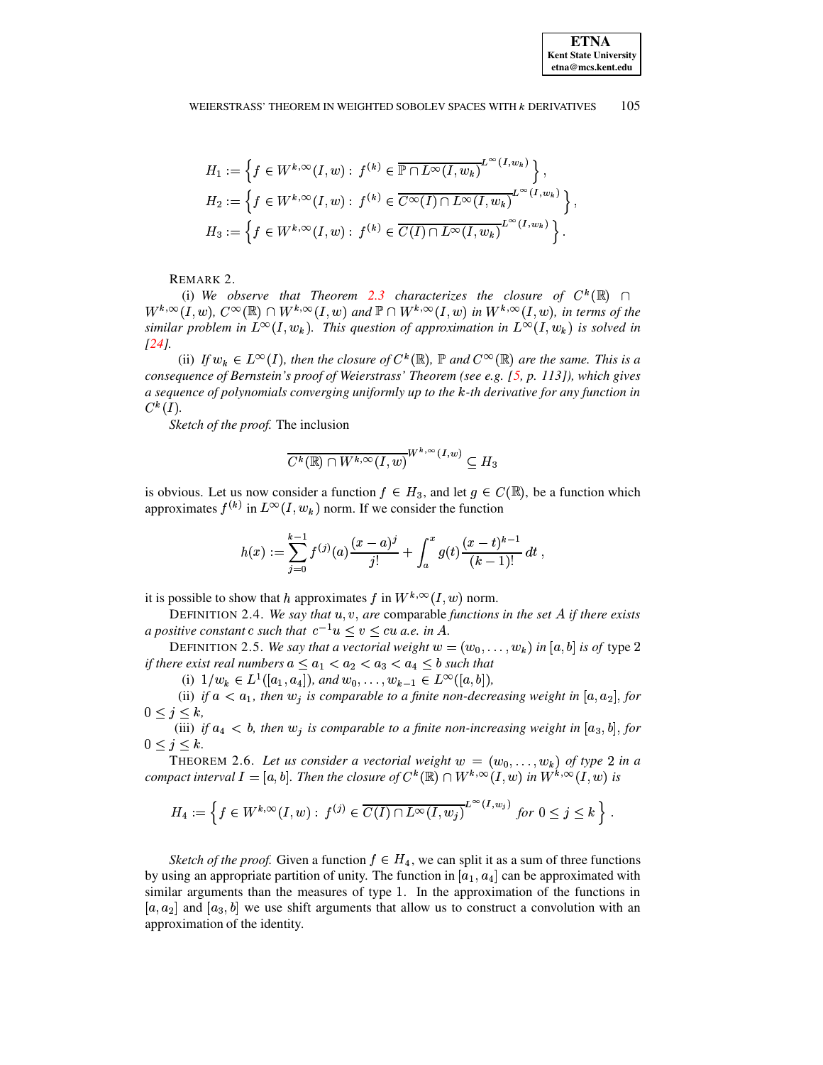$$
H_1 := \left\{ f \in W^{k,\infty}(I,w) : f^{(k)} \in \overline{\mathbb{P} \cap L^{\infty}(I,w_k)}^{L^{\infty}(I,w_k)} \right\},
$$
  
\n
$$
H_2 := \left\{ f \in W^{k,\infty}(I,w) : f^{(k)} \in \overline{C^{\infty}(I) \cap L^{\infty}(I,w_k)}^{L^{\infty}(I,w_k)} \right\},
$$
  
\n
$$
H_3 := \left\{ f \in W^{k,\infty}(I,w) : f^{(k)} \in \overline{C(I) \cap L^{\infty}(I,w_k)}^{L^{\infty}(I,w_k)} \right\}.
$$

REMARK 2.

(i) We observe that Theorem [2.3](#page-1-0) characterizes the closure of  $C^k(\mathbb{R})$   $\cap$  $W^{k,\infty}(I,w)$ ,  $C^{\infty}(\mathbb{R}) \cap W^{k,\infty}(I,w)$  and  $\mathbb{P} \cap W^{k,\infty}(I,w)$  in  $W^{k,\infty}(I,w)$ , in terms of the *similar problem in*  $L^{\infty}(I, w_k)$ . This question of approximation in  $L^{\infty}(I, w_k)$  is solved in *[\[24\]](#page-4-1).*

(ii) If  $w_k \in L^{\infty}(I)$ , then the closure of  $C^k(\mathbb{R})$ ,  $\mathbb P$  and  $C^{\infty}(\mathbb{R})$  are the same. This is a *consequence of Bernstein's proof of Weierstrass' Theorem (see e.g. [\[5,](#page-3-1) p. 113]), which gives a sequence of polynomials converging uniformly up to the* <sup>m</sup>*-th derivative for any function in*  $C^{\mathbf{k}}(I)$ .

*Sketch of the proof.* The inclusion

$$
\overline{C^k(\mathbb{R})\cap W^{k,\infty}(I,w)}^{W^{k,\infty}(I,w)}\subseteq H_3
$$

is obvious. Let us now consider a function  $f \in H_3$ , and let  $g \in C(\mathbb{R})$ , be a function which approximates  $f^{(k)}$  in  $L^{\infty}(I,w_k)$  norm. If we consider the function

$$
h(x):=\sum_{j=0}^{k-1}f^{(j)}(a)\frac{(x-a)^j}{j!}+\int_a^xg(t)\frac{(x-t)^{k-1}}{(k-1)!}\,dt\;,
$$

it is possible to show that h approximates f in  $W^{k,\infty}(I,w)$  norm.

DEFINITION 2.4. *We say that*  $u, v$ , are comparable *functions* in the set A if there exists *a* positive constant c such that  $c^{-1}u \leq v \leq cu$  a.e. in A.

DEFINITION 2.5. We say that a vectorial weight  $w = (w_0, \ldots, w_k)$  in [a, b] is of type 2 *if there exist real numbers*  $a \leq a_1 < a_2 < a_3 < a_4 \leq b$  such that

(i)  $1/w_k \in L^1([a_1, a_4])$ , and  $w_0, \ldots, w_{k-1} \in L^{\infty}([a, b])$ ,

(ii) if  $a < a_1$ , then  $w_i$  is comparable to a finite non-decreasing weight in  $[a, a_2]$ , for  $0 \leq j \leq k$ ,

(iii) if  $a_4 < b$ , then  $w_j$  is comparable to a finite non-increasing weight in  $[a_3, b]$ , for  $0 \leq j \leq k$ .

THEOREM 2.6. Let us consider a vectorial weight  $w = (w_0, \ldots, w_k)$  of type 2 in a *compact interval*  $I = [a, b]$ . Then the closure of  $C^k(\mathbb{R}) \cap W^{k, \infty}(I, w)$  in  $W^{k, \infty}(I, w)$  is

$$
H_4 := \left\{ f \in W^{k,\infty}(I,w) : f^{(j)} \in \overline{C(I) \cap L^\infty(I,w_j)}^{L^\infty(I,w_j)} \text{ for } 0 \le j \le k \right\}.
$$

*Sketch of the proof.* Given a function  $f \in H_4$ , we can split it as a sum of three functions by using an appropriate partition of unity. The function in  $[a_1, a_4]$  can be approximated with similar arguments than the measures of type  $1$ . In the approximation of the functions in  $[a, a_2]$  and  $[a_3, b]$  we use shift arguments that allow us to construct a convolution with an approximation of the identity.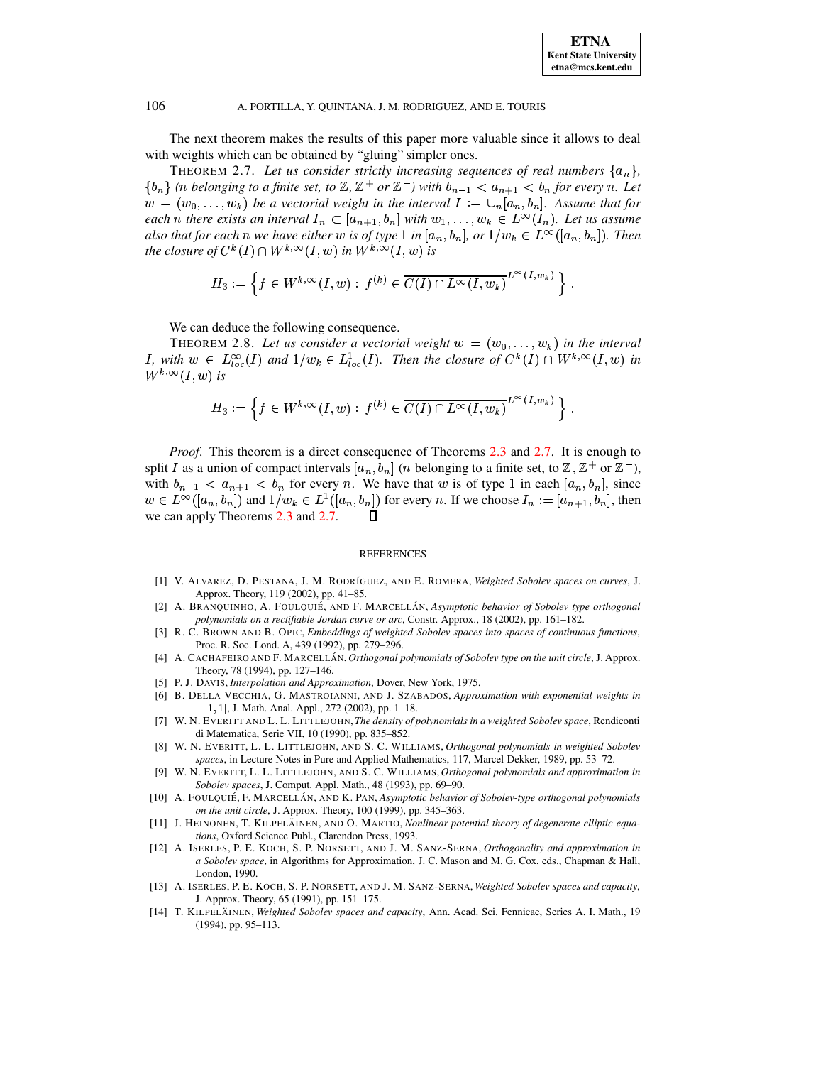#### A. PORTILLA, Y. OUINTANA, J. M. RODRIGUEZ, AND E. TOURIS

The next theorem makes the results of this paper more valuable since it allows to deal with weights which can be obtained by "gluing" simpler ones.

<span id="page-3-2"></span>THEOREM 2.7. Let us consider strictly increasing sequences of real numbers  $\{a_n\}$ ,  $\{b_n\}$  (n belonging to a finite set, to  $\mathbb{Z}, \mathbb{Z}^+$  or  $\mathbb{Z}^-$ ) with  $b_{n-1} < a_{n+1} < b_n$  for every n. Let  $w = (w_0, \ldots, w_k)$  be a vectorial weight in the interval  $I := \bigcup_n [a_n, b_n]$ . Assume that for each n there exists an interval  $I_n \subset [a_{n+1}, b_n]$  with  $w_1, \ldots, w_k \in L^{\infty}(I_n)$ . Let us assume also that for each n we have either w is of type 1 in  $[a_n, b_n]$ , or  $1/w_k \in L^{\infty}([a_n, b_n])$ . Then the closure of  $C^k(I) \cap W^{k,\infty}(I,w)$  in  $W^{k,\infty}(I,w)$  is

$$
H_3 := \left\{ f \in W^{k,\infty}(I,w) : f^{(k)} \in \overline{C(I) \cap L^\infty(I,w_k)}^{L^\infty(I,w_k)} \right\}
$$

We can deduce the following consequence.

THEOREM 2.8. Let us consider a vectorial weight  $w = (w_0, \dots, w_k)$  in the interval *I*, with  $w \in L_{loc}^{\infty}(I)$  and  $1/w_k \in L_{loc}^1(I)$ . Then the closure of  $C^k(I) \cap W^{k,\infty}(I,w)$  in  $W^{k,\infty}(I,w)$  is

$$
H_3 := \left\{ f \in W^{k,\infty}(I,w) : f^{(k)} \in \overline{C(I) \cap L^\infty(I,w_k)}^{L^\infty(I,w_k)} \right\}.
$$

*Proof.* This theorem is a direct consequence of Theorems 2.3 and 2.7. It is enough to split I as a union of compact intervals  $[a_n, b_n]$  (*n* belonging to a finite set, to  $\mathbb{Z}, \mathbb{Z}^+$  or  $\mathbb{Z}^-$ ), with  $b_{n-1} < a_{n+1} < b_n$  for every n. We have that w is of type 1 in each  $[a_n, b_n]$ , since  $w \in L^{\infty}([a_n, b_n])$  and  $1/w_k \in L^1([a_n, b_n])$  for every n. If we choose  $I_n := [a_{n+1}, b_n]$ , then we can apply Theorems 2.3 and 2.7.  $\mathsf{\Pi}$ 

### **REFERENCES**

- <span id="page-3-0"></span>[1] V. ALVAREZ, D. PESTANA, J. M. RODRÍGUEZ, AND E. ROMERA, Weighted Sobolev spaces on curves, J. Approx. Theory, 119 (2002), pp. 41-85.
- [2] A. BRANQUINHO, A. FOULQUIÉ, AND F. MARCELLÁN, Asymptotic behavior of Sobolev type orthogonal polynomials on a rectifiable Jordan curve or arc, Constr. Approx., 18 (2002), pp. 161-182.
- [3] R. C. BROWN AND B. OPIC, *Embeddings of weighted Sobolev spaces into spaces of continuous functions*, Proc. R. Soc. Lond. A, 439 (1992), pp. 279-296.
- [4] A. CACHAFEIRO AND F. MARCELLÁN, Orthogonal polynomials of Sobolev type on the unit circle, J. Approx. Theory, 78 (1994), pp. 127-146.
- <span id="page-3-1"></span>[5] P. J. DAVIS, Interpolation and Approximation, Dover, New York, 1975.
- [6] B. DELLA VECCHIA, G. MASTROIANNI, AND J. SZABADOS, Approximation with exponential weights in  $[-1, 1]$ , J. Math. Anal. Appl., 272 (2002), pp. 1-18.
- [7] W. N. EVERITT AND L. L. LITTLEJOHN, The density of polynomials in a weighted Sobolev space, Rendiconti di Matematica, Serie VII, 10 (1990), pp. 835-852.
- [8] W. N. EVERITT, L. L. LITTLEJOHN, AND S. C. WILLIAMS, Orthogonal polynomials in weighted Sobolev spaces, in Lecture Notes in Pure and Applied Mathematics, 117, Marcel Dekker, 1989, pp. 53-72.
- [9] W. N. EVERITT, L. L. LITTLEJOHN, AND S. C. WILLIAMS, Orthogonal polynomials and approximation in Sobolev spaces, J. Comput. Appl. Math., 48 (1993), pp. 69-90.
- [10] A. FOULQUIÉ, F. MARCELLÁN, AND K. PAN, Asymptotic behavior of Sobolev-type orthogonal polynomials on the unit circle, J. Approx. Theory, 100 (1999), pp. 345-363.
- [11] J. HEINONEN, T. KILPELÄINEN, AND O. MARTIO, Nonlinear potential theory of degenerate elliptic equations, Oxford Science Publ., Clarendon Press, 1993.
- [12] A. ISERLES, P. E. KOCH, S. P. NORSETT, AND J. M. SANZ-SERNA, Orthogonality and approximation in a Sobolev space, in Algorithms for Approximation, J. C. Mason and M. G. Cox, eds., Chapman & Hall, London, 1990.
- [13] A. ISERLES, P. E. KOCH, S. P. NORSETT, AND J. M. SANZ-SERNA, Weighted Sobolev spaces and capacity, J. Approx. Theory, 65 (1991), pp. 151-175.
- [14] T. KILPELÄINEN, Weighted Sobolev spaces and capacity, Ann. Acad. Sci. Fennicae, Series A. I. Math., 19  $(1994)$ , pp. 95-113.